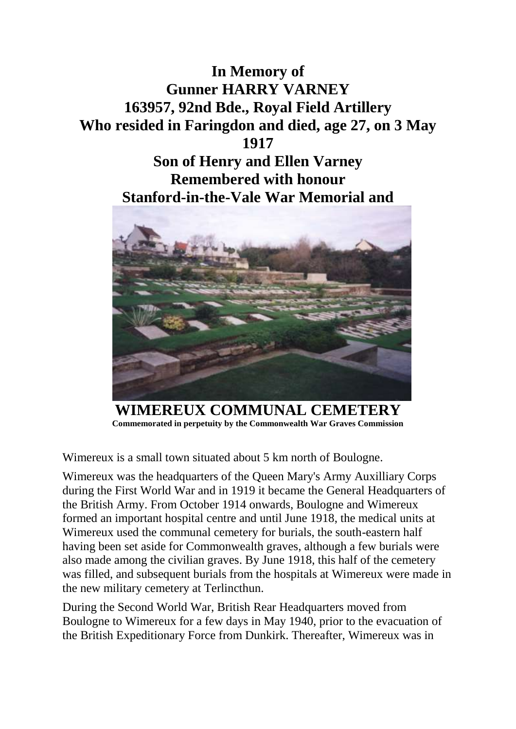



**WIMEREUX COMMUNAL CEMETERY Commemorated in perpetuity by the Commonwealth War Graves Commission**

Wimereux is a small town situated about 5 km north of Boulogne.

Wimereux was the headquarters of the Queen Mary's Army Auxilliary Corps during the First World War and in 1919 it became the General Headquarters of the British Army. From October 1914 onwards, Boulogne and Wimereux formed an important hospital centre and until June 1918, the medical units at Wimereux used the communal cemetery for burials, the south-eastern half having been set aside for Commonwealth graves, although a few burials were also made among the civilian graves. By June 1918, this half of the cemetery was filled, and subsequent burials from the hospitals at Wimereux were made in the new military cemetery at Terlincthun.

During the Second World War, British Rear Headquarters moved from Boulogne to Wimereux for a few days in May 1940, prior to the evacuation of the British Expeditionary Force from Dunkirk. Thereafter, Wimereux was in